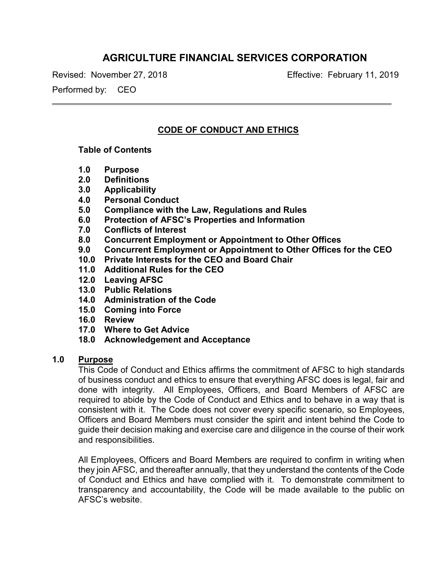# **AGRICULTURE FINANCIAL SERVICES CORPORATION**

Revised: November 27, 2018 Effective: February 11, 2019

Performed by: CEO

# **CODE OF CONDUCT AND ETHICS**

#### **Table of Contents**

- **1.0 Purpose**
- **2.0 Definitions**
- **3.0 Applicability**
- **4.0 Personal Conduct**
- **5.0 Compliance with the Law, Regulations and Rules**
- **6.0 Protection of AFSC's Properties and Information**
- **7.0 Conflicts of Interest**
- **8.0 Concurrent Employment or Appointment to Other Offices**
- **9.0 Concurrent Employment or Appointment to Other Offices for the CEO**
- **10.0 Private Interests for the CEO and Board Chair**
- **11.0 Additional Rules for the CEO**
- **12.0 Leaving AFSC**
- **13.0 Public Relations**
- **14.0 Administration of the Code**
- **15.0 Coming into Force**
- **16.0 Review**
- **17.0 Where to Get Advice**
- **18.0 Acknowledgement and Acceptance**

# **1.0 Purpose**

This Code of Conduct and Ethics affirms the commitment of AFSC to high standards of business conduct and ethics to ensure that everything AFSC does is legal, fair and done with integrity. All Employees, Officers, and Board Members of AFSC are required to abide by the Code of Conduct and Ethics and to behave in a way that is consistent with it. The Code does not cover every specific scenario, so Employees, Officers and Board Members must consider the spirit and intent behind the Code to guide their decision making and exercise care and diligence in the course of their work and responsibilities.

All Employees, Officers and Board Members are required to confirm in writing when they join AFSC, and thereafter annually, that they understand the contents of the Code of Conduct and Ethics and have complied with it. To demonstrate commitment to transparency and accountability, the Code will be made available to the public on AFSC's website.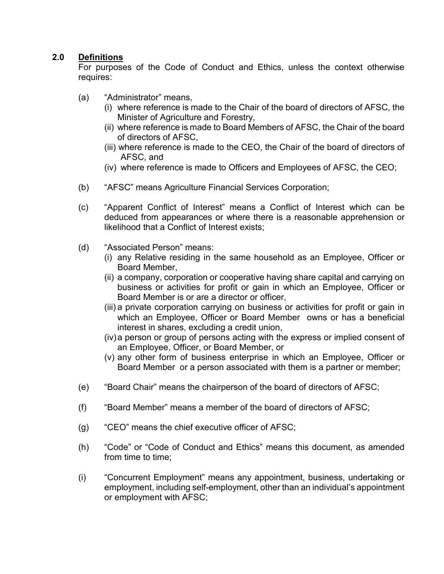# **2.0 Definitions**

For purposes of the Code of Conduct and Ethics, unless the context otherwise requires:

- (a) "Administrator" means,
	- (i) where reference is made to the Chair of the board of directors of AFSC, the Minister of Agriculture and Forestry,
	- (ii) where reference is made to Board Members of AFSC, the Chair of the board of directors of AFSC,
	- (iii) where reference is made to the CEO, the Chair of the board of directors of AFSC, and
	- (iv) where reference is made to Officers and Employees of AFSC, the CEO;
- (b) "AFSC" means Agriculture Financial Services Corporation;
- (c) "Apparent Conflict of Interest" means a Conflict of Interest which can be deduced from appearances or where there is a reasonable apprehension or likelihood that a Conflict of Interest exists;
- (d) "Associated Person" means:
	- (i) any Relative residing in the same household as an Employee, Officer or Board Member,
	- (ii) a company, corporation or cooperative having share capital and carrying on business or activities for profit or gain in which an Employee, Officer or Board Member is or are a director or officer,
	- (iii) a private corporation carrying on business or activities for profit or gain in which an Employee, Officer or Board Member owns or has a beneficial interest in shares, excluding a credit union,
	- (iv)a person or group of persons acting with the express or implied consent of an Employee, Officer, or Board Member, or
	- (v) any other form of business enterprise in which an Employee, Officer or Board Member or a person associated with them is a partner or member;
- (e) "Board Chair" means the chairperson of the board of directors of AFSC;
- (f) "Board Member" means a member of the board of directors of AFSC;
- (g) "CEO" means the chief executive officer of AFSC;
- (h) "Code" or "Code of Conduct and Ethics" means this document, as amended from time to time;
- (i) "Concurrent Employment" means any appointment, business, undertaking or employment, including self-employment, other than an individual's appointment or employment with AFSC;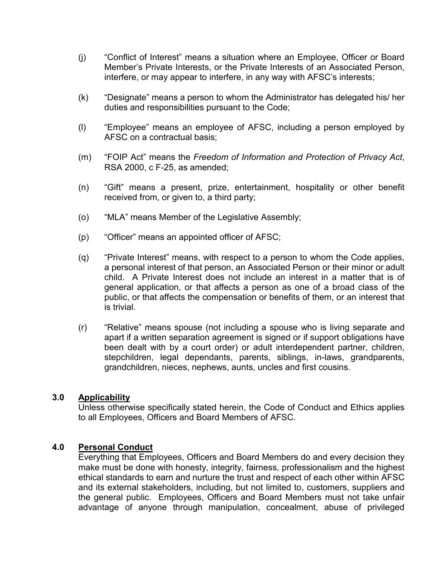- (j) "Conflict of Interest" means a situation where an Employee, Officer or Board Member's Private Interests, or the Private Interests of an Associated Person, interfere, or may appear to interfere, in any way with AFSC's interests;
- (k) "Designate" means a person to whom the Administrator has delegated his/ her duties and responsibilities pursuant to the Code;
- (l) "Employee" means an employee of AFSC, including a person employed by AFSC on a contractual basis;
- (m) "FOIP Act" means the *Freedom of Information and Protection of Privacy Act*, RSA 2000, c F-25, as amended;
- (n) "Gift" means a present, prize, entertainment, hospitality or other benefit received from, or given to, a third party;
- (o) "MLA" means Member of the Legislative Assembly;
- (p) "Officer" means an appointed officer of AFSC;
- (q) "Private Interest" means, with respect to a person to whom the Code applies, a personal interest of that person, an Associated Person or their minor or adult child. A Private Interest does not include an interest in a matter that is of general application, or that affects a person as one of a broad class of the public, or that affects the compensation or benefits of them, or an interest that is trivial.
- (r) "Relative" means spouse (not including a spouse who is living separate and apart if a written separation agreement is signed or if support obligations have been dealt with by a court order) or adult interdependent partner, children, stepchildren, legal dependants, parents, siblings, in-laws, grandparents, grandchildren, nieces, nephews, aunts, uncles and first cousins.

#### **3.0 Applicability**

Unless otherwise specifically stated herein, the Code of Conduct and Ethics applies to all Employees, Officers and Board Members of AFSC.

#### **4.0 Personal Conduct**

Everything that Employees, Officers and Board Members do and every decision they make must be done with honesty, integrity, fairness, professionalism and the highest ethical standards to earn and nurture the trust and respect of each other within AFSC and its external stakeholders, including, but not limited to, customers, suppliers and the general public. Employees, Officers and Board Members must not take unfair advantage of anyone through manipulation, concealment, abuse of privileged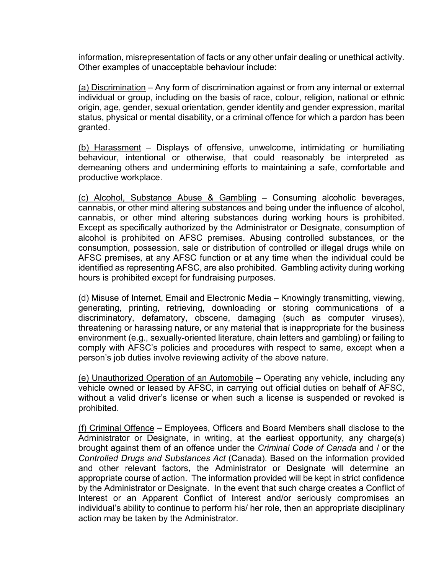information, misrepresentation of facts or any other unfair dealing or unethical activity. Other examples of unacceptable behaviour include:

(a) Discrimination *–* Any form of discrimination against or from any internal or external individual or group, including on the basis of race, colour, religion, national or ethnic origin, age, gender, sexual orientation, gender identity and gender expression, marital status, physical or mental disability, or a criminal offence for which a pardon has been granted.

(b) Harassment – Displays of offensive, unwelcome, intimidating or humiliating behaviour, intentional or otherwise, that could reasonably be interpreted as demeaning others and undermining efforts to maintaining a safe, comfortable and productive workplace.

(c) Alcohol, Substance Abuse & Gambling – Consuming alcoholic beverages, cannabis, or other mind altering substances and being under the influence of alcohol, cannabis, or other mind altering substances during working hours is prohibited. Except as specifically authorized by the Administrator or Designate, consumption of alcohol is prohibited on AFSC premises. Abusing controlled substances, or the consumption, possession, sale or distribution of controlled or illegal drugs while on AFSC premises, at any AFSC function or at any time when the individual could be identified as representing AFSC, are also prohibited. Gambling activity during working hours is prohibited except for fundraising purposes.

(d) Misuse of Internet, Email and Electronic Media – Knowingly transmitting, viewing, generating, printing, retrieving, downloading or storing communications of a discriminatory, defamatory, obscene, damaging (such as computer viruses), threatening or harassing nature, or any material that is inappropriate for the business environment (e.g., sexually-oriented literature, chain letters and gambling) or failing to comply with AFSC's policies and procedures with respect to same, except when a person's job duties involve reviewing activity of the above nature.

(e) Unauthorized Operation of an Automobile – Operating any vehicle, including any vehicle owned or leased by AFSC, in carrying out official duties on behalf of AFSC, without a valid driver's license or when such a license is suspended or revoked is prohibited.

(f) Criminal Offence – Employees, Officers and Board Members shall disclose to the Administrator or Designate, in writing, at the earliest opportunity, any charge(s) brought against them of an offence under the *Criminal Code of Canada* and / or the *Controlled Drugs and Substances Act* (Canada). Based on the information provided and other relevant factors, the Administrator or Designate will determine an appropriate course of action. The information provided will be kept in strict confidence by the Administrator or Designate. In the event that such charge creates a Conflict of Interest or an Apparent Conflict of Interest and/or seriously compromises an individual's ability to continue to perform his/ her role, then an appropriate disciplinary action may be taken by the Administrator.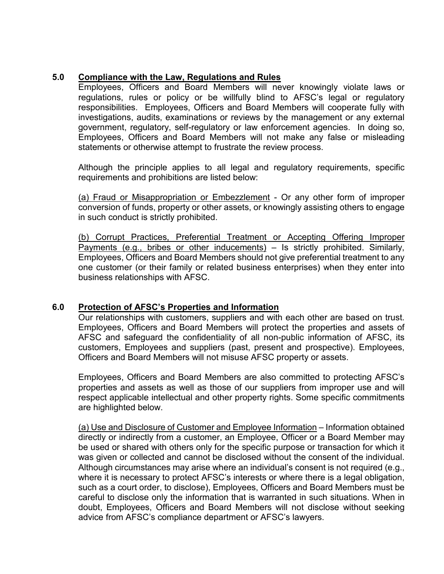# **5.0 Compliance with the Law, Regulations and Rules**

Employees, Officers and Board Members will never knowingly violate laws or regulations, rules or policy or be willfully blind to AFSC's legal or regulatory responsibilities. Employees, Officers and Board Members will cooperate fully with investigations, audits, examinations or reviews by the management or any external government, regulatory, self-regulatory or law enforcement agencies. In doing so, Employees, Officers and Board Members will not make any false or misleading statements or otherwise attempt to frustrate the review process.

Although the principle applies to all legal and regulatory requirements, specific requirements and prohibitions are listed below:

(a) Fraud or Misappropriation or Embezzlement - Or any other form of improper conversion of funds, property or other assets, or knowingly assisting others to engage in such conduct is strictly prohibited.

(b) Corrupt Practices, Preferential Treatment or Accepting Offering Improper Payments (e.g., bribes or other inducements) – Is strictly prohibited. Similarly, Employees, Officers and Board Members should not give preferential treatment to any one customer (or their family or related business enterprises) when they enter into business relationships with AFSC.

# **6.0 Protection of AFSC's Properties and Information**

Our relationships with customers, suppliers and with each other are based on trust. Employees, Officers and Board Members will protect the properties and assets of AFSC and safeguard the confidentiality of all non-public information of AFSC, its customers, Employees and suppliers (past, present and prospective). Employees, Officers and Board Members will not misuse AFSC property or assets.

Employees, Officers and Board Members are also committed to protecting AFSC's properties and assets as well as those of our suppliers from improper use and will respect applicable intellectual and other property rights. Some specific commitments are highlighted below.

(a) Use and Disclosure of Customer and Employee Information – Information obtained directly or indirectly from a customer, an Employee, Officer or a Board Member may be used or shared with others only for the specific purpose or transaction for which it was given or collected and cannot be disclosed without the consent of the individual. Although circumstances may arise where an individual's consent is not required (e.g., where it is necessary to protect AFSC's interests or where there is a legal obligation, such as a court order, to disclose), Employees, Officers and Board Members must be careful to disclose only the information that is warranted in such situations. When in doubt, Employees, Officers and Board Members will not disclose without seeking advice from AFSC's compliance department or AFSC's lawyers.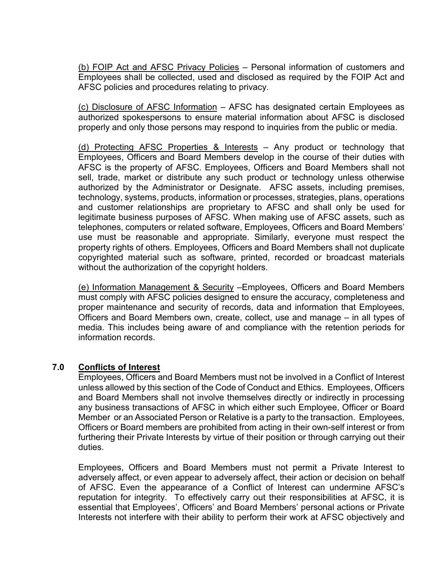(b) FOIP Act and AFSC Privacy Policies – Personal information of customers and Employees shall be collected, used and disclosed as required by the FOIP Act and AFSC policies and procedures relating to privacy.

(c) Disclosure of AFSC Information *–* AFSC has designated certain Employees as authorized spokespersons to ensure material information about AFSC is disclosed properly and only those persons may respond to inquiries from the public or media.

(d) Protecting AFSC Properties & Interests – Any product or technology that Employees, Officers and Board Members develop in the course of their duties with AFSC is the property of AFSC. Employees, Officers and Board Members shall not sell, trade, market or distribute any such product or technology unless otherwise authorized by the Administrator or Designate. AFSC assets, including premises, technology, systems, products, information or processes, strategies, plans, operations and customer relationships are proprietary to AFSC and shall only be used for legitimate business purposes of AFSC. When making use of AFSC assets, such as telephones, computers or related software, Employees, Officers and Board Members' use must be reasonable and appropriate. Similarly, everyone must respect the property rights of others. Employees, Officers and Board Members shall not duplicate copyrighted material such as software, printed, recorded or broadcast materials without the authorization of the copyright holders.

(e) Information Management & Security –Employees, Officers and Board Members must comply with AFSC policies designed to ensure the accuracy, completeness and proper maintenance and security of records, data and information that Employees, Officers and Board Members own, create, collect, use and manage – in all types of media. This includes being aware of and compliance with the retention periods for information records.

#### **7.0 Conflicts of Interest**

Employees, Officers and Board Members must not be involved in a Conflict of Interest unless allowed by this section of the Code of Conduct and Ethics. Employees, Officers and Board Members shall not involve themselves directly or indirectly in processing any business transactions of AFSC in which either such Employee, Officer or Board Member or an Associated Person or Relative is a party to the transaction. Employees, Officers or Board members are prohibited from acting in their own-self interest or from furthering their Private Interests by virtue of their position or through carrying out their duties.

Employees, Officers and Board Members must not permit a Private Interest to adversely affect, or even appear to adversely affect, their action or decision on behalf of AFSC. Even the appearance of a Conflict of Interest can undermine AFSC's reputation for integrity. To effectively carry out their responsibilities at AFSC, it is essential that Employees', Officers' and Board Members' personal actions or Private Interests not interfere with their ability to perform their work at AFSC objectively and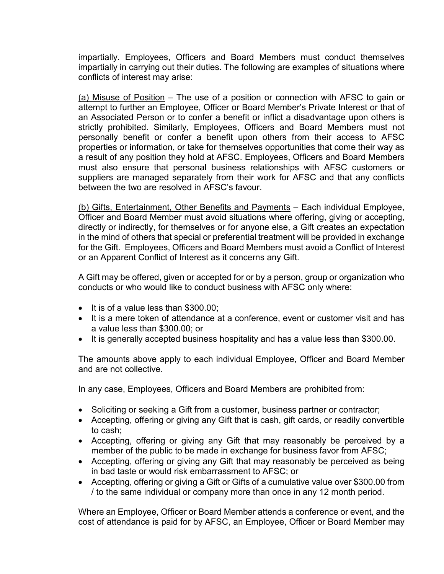impartially. Employees, Officers and Board Members must conduct themselves impartially in carrying out their duties. The following are examples of situations where conflicts of interest may arise:

(a) Misuse of Position – The use of a position or connection with AFSC to gain or attempt to further an Employee, Officer or Board Member's Private Interest or that of an Associated Person or to confer a benefit or inflict a disadvantage upon others is strictly prohibited. Similarly, Employees, Officers and Board Members must not personally benefit or confer a benefit upon others from their access to AFSC properties or information, or take for themselves opportunities that come their way as a result of any position they hold at AFSC. Employees, Officers and Board Members must also ensure that personal business relationships with AFSC customers or suppliers are managed separately from their work for AFSC and that any conflicts between the two are resolved in AFSC's favour.

(b) Gifts, Entertainment, Other Benefits and Payments – Each individual Employee, Officer and Board Member must avoid situations where offering, giving or accepting, directly or indirectly, for themselves or for anyone else, a Gift creates an expectation in the mind of others that special or preferential treatment will be provided in exchange for the Gift. Employees, Officers and Board Members must avoid a Conflict of Interest or an Apparent Conflict of Interest as it concerns any Gift.

A Gift may be offered, given or accepted for or by a person, group or organization who conducts or who would like to conduct business with AFSC only where:

- It is of a value less than \$300.00;
- It is a mere token of attendance at a conference, event or customer visit and has a value less than \$300.00; or
- It is generally accepted business hospitality and has a value less than \$300.00.

The amounts above apply to each individual Employee, Officer and Board Member and are not collective.

In any case, Employees, Officers and Board Members are prohibited from:

- Soliciting or seeking a Gift from a customer, business partner or contractor;
- Accepting, offering or giving any Gift that is cash, gift cards, or readily convertible to cash;
- Accepting, offering or giving any Gift that may reasonably be perceived by a member of the public to be made in exchange for business favor from AFSC;
- Accepting, offering or giving any Gift that may reasonably be perceived as being in bad taste or would risk embarrassment to AFSC; or
- Accepting, offering or giving a Gift or Gifts of a cumulative value over \$300.00 from / to the same individual or company more than once in any 12 month period.

Where an Employee, Officer or Board Member attends a conference or event, and the cost of attendance is paid for by AFSC, an Employee, Officer or Board Member may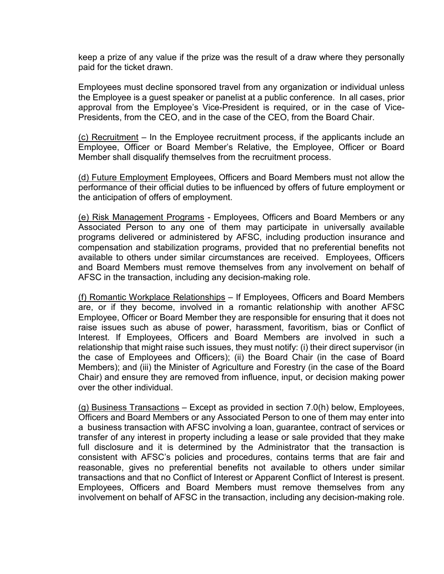keep a prize of any value if the prize was the result of a draw where they personally paid for the ticket drawn.

Employees must decline sponsored travel from any organization or individual unless the Employee is a guest speaker or panelist at a public conference. In all cases, prior approval from the Employee's Vice-President is required, or in the case of Vice-Presidents, from the CEO, and in the case of the CEO, from the Board Chair.

(c) Recruitment – In the Employee recruitment process, if the applicants include an Employee, Officer or Board Member's Relative, the Employee, Officer or Board Member shall disqualify themselves from the recruitment process.

(d) Future Employment Employees, Officers and Board Members must not allow the performance of their official duties to be influenced by offers of future employment or the anticipation of offers of employment.

(e) Risk Management Programs - Employees, Officers and Board Members or any Associated Person to any one of them may participate in universally available programs delivered or administered by AFSC, including production insurance and compensation and stabilization programs, provided that no preferential benefits not available to others under similar circumstances are received. Employees, Officers and Board Members must remove themselves from any involvement on behalf of AFSC in the transaction, including any decision-making role.

(f) Romantic Workplace Relationships – If Employees, Officers and Board Members are, or if they become, involved in a romantic relationship with another AFSC Employee, Officer or Board Member they are responsible for ensuring that it does not raise issues such as abuse of power, harassment, favoritism, bias or Conflict of Interest. If Employees, Officers and Board Members are involved in such a relationship that might raise such issues, they must notify: (i) their direct supervisor (in the case of Employees and Officers); (ii) the Board Chair (in the case of Board Members); and (iii) the Minister of Agriculture and Forestry (in the case of the Board Chair) and ensure they are removed from influence, input, or decision making power over the other individual.

(g) Business Transactions – Except as provided in section 7.0(h) below, Employees, Officers and Board Members or any Associated Person to one of them may enter into a business transaction with AFSC involving a loan, guarantee, contract of services or transfer of any interest in property including a lease or sale provided that they make full disclosure and it is determined by the Administrator that the transaction is consistent with AFSC's policies and procedures, contains terms that are fair and reasonable, gives no preferential benefits not available to others under similar transactions and that no Conflict of Interest or Apparent Conflict of Interest is present. Employees, Officers and Board Members must remove themselves from any involvement on behalf of AFSC in the transaction, including any decision-making role.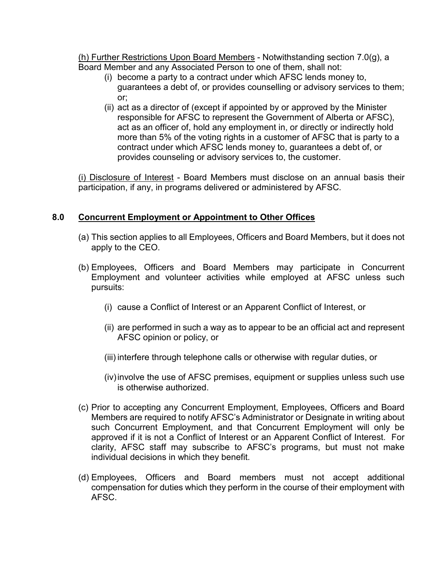(h) Further Restrictions Upon Board Members - Notwithstanding section 7.0(g), a Board Member and any Associated Person to one of them, shall not:

- (i) become a party to a contract under which AFSC lends money to, guarantees a debt of, or provides counselling or advisory services to them; or;
- (ii) act as a director of (except if appointed by or approved by the Minister responsible for AFSC to represent the Government of Alberta or AFSC), act as an officer of, hold any employment in, or directly or indirectly hold more than 5% of the voting rights in a customer of AFSC that is party to a contract under which AFSC lends money to, guarantees a debt of, or provides counseling or advisory services to, the customer.

(i) Disclosure of Interest - Board Members must disclose on an annual basis their participation, if any, in programs delivered or administered by AFSC.

# **8.0 Concurrent Employment or Appointment to Other Offices**

- (a) This section applies to all Employees, Officers and Board Members, but it does not apply to the CEO.
- (b) Employees, Officers and Board Members may participate in Concurrent Employment and volunteer activities while employed at AFSC unless such pursuits:
	- (i) cause a Conflict of Interest or an Apparent Conflict of Interest, or
	- (ii) are performed in such a way as to appear to be an official act and represent AFSC opinion or policy, or
	- (iii) interfere through telephone calls or otherwise with regular duties, or
	- (iv)involve the use of AFSC premises, equipment or supplies unless such use is otherwise authorized.
- (c) Prior to accepting any Concurrent Employment, Employees, Officers and Board Members are required to notify AFSC's Administrator or Designate in writing about such Concurrent Employment, and that Concurrent Employment will only be approved if it is not a Conflict of Interest or an Apparent Conflict of Interest. For clarity, AFSC staff may subscribe to AFSC's programs, but must not make individual decisions in which they benefit.
- (d) Employees, Officers and Board members must not accept additional compensation for duties which they perform in the course of their employment with AFSC.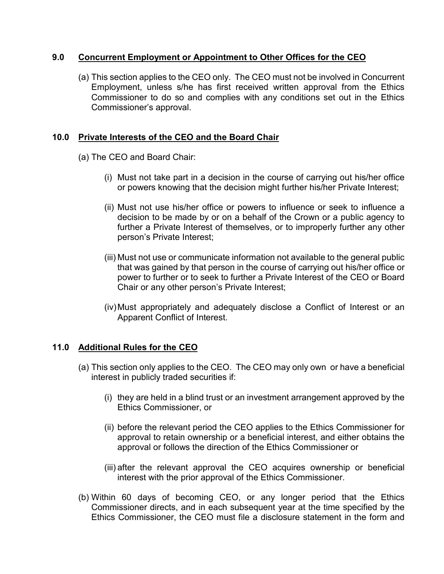#### **9.0 Concurrent Employment or Appointment to Other Offices for the CEO**

(a) This section applies to the CEO only. The CEO must not be involved in Concurrent Employment, unless s/he has first received written approval from the Ethics Commissioner to do so and complies with any conditions set out in the Ethics Commissioner's approval.

# **10.0 Private Interests of the CEO and the Board Chair**

- (a) The CEO and Board Chair:
	- (i) Must not take part in a decision in the course of carrying out his/her office or powers knowing that the decision might further his/her Private Interest;
	- (ii) Must not use his/her office or powers to influence or seek to influence a decision to be made by or on a behalf of the Crown or a public agency to further a Private Interest of themselves, or to improperly further any other person's Private Interest;
	- (iii) Must not use or communicate information not available to the general public that was gained by that person in the course of carrying out his/her office or power to further or to seek to further a Private Interest of the CEO or Board Chair or any other person's Private Interest;
	- (iv)Must appropriately and adequately disclose a Conflict of Interest or an Apparent Conflict of Interest.

# **11.0 Additional Rules for the CEO**

- (a) This section only applies to the CEO. The CEO may only own or have a beneficial interest in publicly traded securities if:
	- (i) they are held in a blind trust or an investment arrangement approved by the Ethics Commissioner, or
	- (ii) before the relevant period the CEO applies to the Ethics Commissioner for approval to retain ownership or a beneficial interest, and either obtains the approval or follows the direction of the Ethics Commissioner or
	- (iii) after the relevant approval the CEO acquires ownership or beneficial interest with the prior approval of the Ethics Commissioner.
- (b) Within 60 days of becoming CEO, or any longer period that the Ethics Commissioner directs, and in each subsequent year at the time specified by the Ethics Commissioner, the CEO must file a disclosure statement in the form and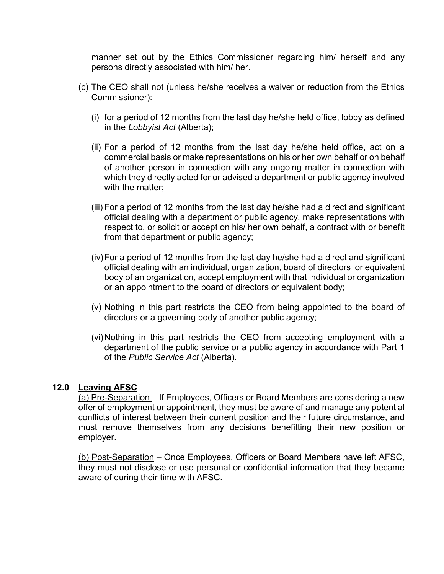manner set out by the Ethics Commissioner regarding him/ herself and any persons directly associated with him/ her.

- (c) The CEO shall not (unless he/she receives a waiver or reduction from the Ethics Commissioner):
	- (i) for a period of 12 months from the last day he/she held office, lobby as defined in the *Lobbyist Act* (Alberta);
	- (ii) For a period of 12 months from the last day he/she held office, act on a commercial basis or make representations on his or her own behalf or on behalf of another person in connection with any ongoing matter in connection with which they directly acted for or advised a department or public agency involved with the matter;
	- (iii) For a period of 12 months from the last day he/she had a direct and significant official dealing with a department or public agency, make representations with respect to, or solicit or accept on his/ her own behalf, a contract with or benefit from that department or public agency;
	- (iv)For a period of 12 months from the last day he/she had a direct and significant official dealing with an individual, organization, board of directors or equivalent body of an organization, accept employment with that individual or organization or an appointment to the board of directors or equivalent body;
	- (v) Nothing in this part restricts the CEO from being appointed to the board of directors or a governing body of another public agency;
	- (vi)Nothing in this part restricts the CEO from accepting employment with a department of the public service or a public agency in accordance with Part 1 of the *Public Service Act* (Alberta).

#### **12.0 Leaving AFSC**

(a) Pre-Separation – If Employees, Officers or Board Members are considering a new offer of employment or appointment, they must be aware of and manage any potential conflicts of interest between their current position and their future circumstance, and must remove themselves from any decisions benefitting their new position or employer.

(b) Post-Separation – Once Employees, Officers or Board Members have left AFSC, they must not disclose or use personal or confidential information that they became aware of during their time with AFSC.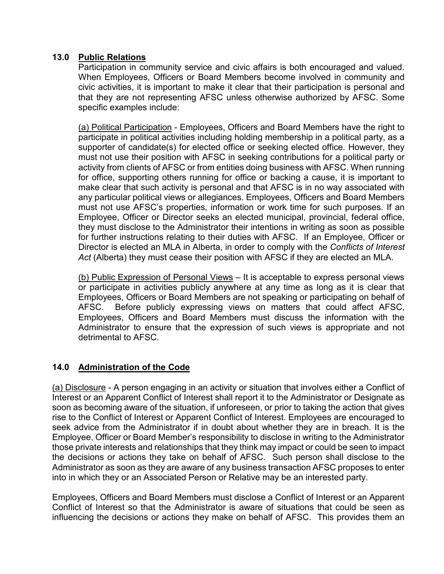# **13.0 Public Relations**

Participation in community service and civic affairs is both encouraged and valued. When Employees, Officers or Board Members become involved in community and civic activities, it is important to make it clear that their participation is personal and that they are not representing AFSC unless otherwise authorized by AFSC. Some specific examples include:

(a) Political Participation - Employees, Officers and Board Members have the right to participate in political activities including holding membership in a political party, as a supporter of candidate(s) for elected office or seeking elected office. However, they must not use their position with AFSC in seeking contributions for a political party or activity from clients of AFSC or from entities doing business with AFSC. When running for office, supporting others running for office or backing a cause, it is important to make clear that such activity is personal and that AFSC is in no way associated with any particular political views or allegiances. Employees, Officers and Board Members must not use AFSC's properties, information or work time for such purposes. If an Employee, Officer or Director seeks an elected municipal, provincial, federal office, they must disclose to the Administrator their intentions in writing as soon as possible for further instructions relating to their duties with AFSC. If an Employee, Officer or Director is elected an MLA in Alberta, in order to comply with the *Conflicts of Interest Act* (Alberta) they must cease their position with AFSC if they are elected an MLA.

(b) Public Expression of Personal Views – It is acceptable to express personal views or participate in activities publicly anywhere at any time as long as it is clear that Employees, Officers or Board Members are not speaking or participating on behalf of AFSC. Before publicly expressing views on matters that could affect AFSC, Employees, Officers and Board Members must discuss the information with the Administrator to ensure that the expression of such views is appropriate and not detrimental to AFSC.

# **14.0 Administration of the Code**

(a) Disclosure - A person engaging in an activity or situation that involves either a Conflict of Interest or an Apparent Conflict of Interest shall report it to the Administrator or Designate as soon as becoming aware of the situation, if unforeseen, or prior to taking the action that gives rise to the Conflict of Interest or Apparent Conflict of Interest. Employees are encouraged to seek advice from the Administrator if in doubt about whether they are in breach. It is the Employee, Officer or Board Member's responsibility to disclose in writing to the Administrator those private interests and relationships that they think may impact or could be seen to impact the decisions or actions they take on behalf of AFSC. Such person shall disclose to the Administrator as soon as they are aware of any business transaction AFSC proposes to enter into in which they or an Associated Person or Relative may be an interested party.

Employees, Officers and Board Members must disclose a Conflict of Interest or an Apparent Conflict of Interest so that the Administrator is aware of situations that could be seen as influencing the decisions or actions they make on behalf of AFSC. This provides them an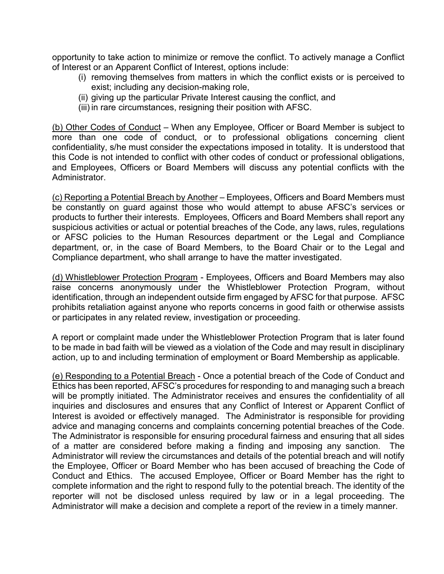opportunity to take action to minimize or remove the conflict. To actively manage a Conflict of Interest or an Apparent Conflict of Interest, options include:

- (i) removing themselves from matters in which the conflict exists or is perceived to exist; including any decision-making role,
- (ii) giving up the particular Private Interest causing the conflict, and
- (iii) in rare circumstances, resigning their position with AFSC.

(b) Other Codes of Conduct – When any Employee, Officer or Board Member is subject to more than one code of conduct, or to professional obligations concerning client confidentiality, s/he must consider the expectations imposed in totality. It is understood that this Code is not intended to conflict with other codes of conduct or professional obligations, and Employees, Officers or Board Members will discuss any potential conflicts with the Administrator.

(c) Reporting a Potential Breach by Another – Employees, Officers and Board Members must be constantly on guard against those who would attempt to abuse AFSC's services or products to further their interests. Employees, Officers and Board Members shall report any suspicious activities or actual or potential breaches of the Code, any laws, rules, regulations or AFSC policies to the Human Resources department or the Legal and Compliance department, or, in the case of Board Members, to the Board Chair or to the Legal and Compliance department, who shall arrange to have the matter investigated.

(d) Whistleblower Protection Program - Employees, Officers and Board Members may also raise concerns anonymously under the Whistleblower Protection Program, without identification, through an independent outside firm engaged by AFSC for that purpose. AFSC prohibits retaliation against anyone who reports concerns in good faith or otherwise assists or participates in any related review, investigation or proceeding.

A report or complaint made under the Whistleblower Protection Program that is later found to be made in bad faith will be viewed as a violation of the Code and may result in disciplinary action, up to and including termination of employment or Board Membership as applicable.

(e) Responding to a Potential Breach - Once a potential breach of the Code of Conduct and Ethics has been reported, AFSC's procedures for responding to and managing such a breach will be promptly initiated. The Administrator receives and ensures the confidentiality of all inquiries and disclosures and ensures that any Conflict of Interest or Apparent Conflict of Interest is avoided or effectively managed. The Administrator is responsible for providing advice and managing concerns and complaints concerning potential breaches of the Code. The Administrator is responsible for ensuring procedural fairness and ensuring that all sides of a matter are considered before making a finding and imposing any sanction. The Administrator will review the circumstances and details of the potential breach and will notify the Employee, Officer or Board Member who has been accused of breaching the Code of Conduct and Ethics. The accused Employee, Officer or Board Member has the right to complete information and the right to respond fully to the potential breach. The identity of the reporter will not be disclosed unless required by law or in a legal proceeding. The Administrator will make a decision and complete a report of the review in a timely manner.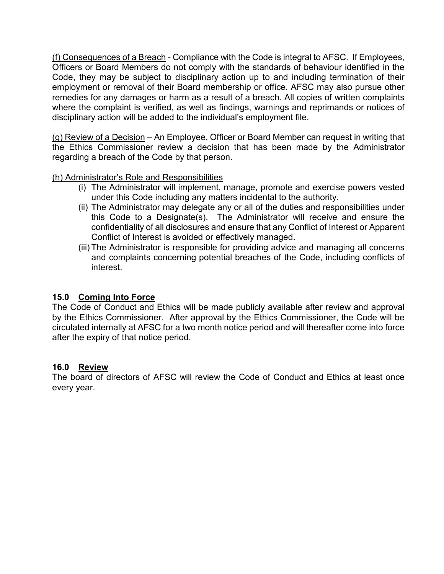(f) Consequences of a Breach - Compliance with the Code is integral to AFSC. If Employees, Officers or Board Members do not comply with the standards of behaviour identified in the Code, they may be subject to disciplinary action up to and including termination of their employment or removal of their Board membership or office. AFSC may also pursue other remedies for any damages or harm as a result of a breach. All copies of written complaints where the complaint is verified, as well as findings, warnings and reprimands or notices of disciplinary action will be added to the individual's employment file.

(g) Review of a Decision – An Employee, Officer or Board Member can request in writing that the Ethics Commissioner review a decision that has been made by the Administrator regarding a breach of the Code by that person.

(h) Administrator's Role and Responsibilities

- (i) The Administrator will implement, manage, promote and exercise powers vested under this Code including any matters incidental to the authority.
- (ii) The Administrator may delegate any or all of the duties and responsibilities under this Code to a Designate(s). The Administrator will receive and ensure the confidentiality of all disclosures and ensure that any Conflict of Interest or Apparent Conflict of Interest is avoided or effectively managed.
- (iii) The Administrator is responsible for providing advice and managing all concerns and complaints concerning potential breaches of the Code, including conflicts of interest.

# **15.0 Coming Into Force**

The Code of Conduct and Ethics will be made publicly available after review and approval by the Ethics Commissioner. After approval by the Ethics Commissioner, the Code will be circulated internally at AFSC for a two month notice period and will thereafter come into force after the expiry of that notice period.

#### **16.0 Review**

The board of directors of AFSC will review the Code of Conduct and Ethics at least once every year.